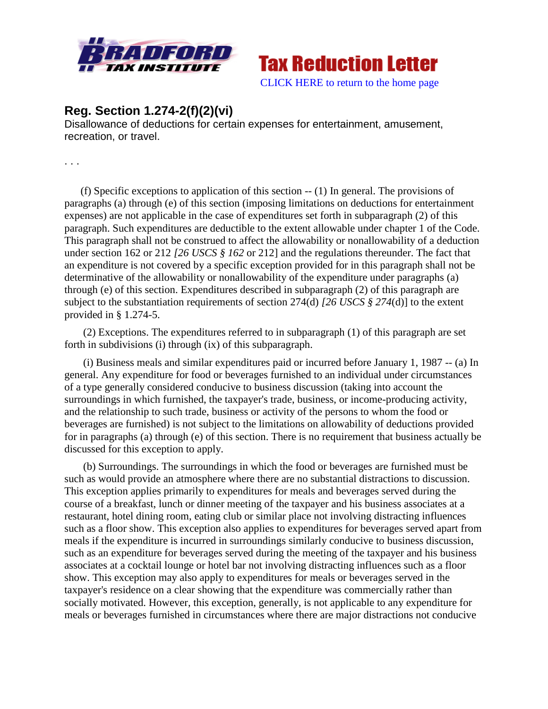



## **Reg. Section 1.274-2(f)(2)(vi)**

Disallowance of deductions for certain expenses for entertainment, amusement, recreation, or travel.

. . .

(f) Specific exceptions to application of this section  $- (1)$  In general. The provisions of paragraphs (a) through (e) of this section (imposing limitations on deductions for entertainment expenses) are not applicable in the case of expenditures set forth in subparagraph (2) of this paragraph. Such expenditures are deductible to the extent allowable under chapter 1 of the Code. This paragraph shall not be construed to affect the allowability or nonallowability of a deduction under section 162 or 212 *[26 USCS § 162* or 212] and the regulations thereunder. The fact that an expenditure is not covered by a specific exception provided for in this paragraph shall not be determinative of the allowability or nonallowability of the expenditure under paragraphs (a) through (e) of this section. Expenditures described in subparagraph (2) of this paragraph are subject to the substantiation requirements of section 274(d) *[26 USCS § 274*(d)] to the extent provided in § 1.274-5.

(2) Exceptions. The expenditures referred to in subparagraph (1) of this paragraph are set forth in subdivisions (i) through (ix) of this subparagraph.

(i) Business meals and similar expenditures paid or incurred before January 1, 1987 -- (a) In general. Any expenditure for food or beverages furnished to an individual under circumstances of a type generally considered conducive to business discussion (taking into account the surroundings in which furnished, the taxpayer's trade, business, or income-producing activity, and the relationship to such trade, business or activity of the persons to whom the food or beverages are furnished) is not subject to the limitations on allowability of deductions provided for in paragraphs (a) through (e) of this section. There is no requirement that business actually be discussed for this exception to apply.

(b) Surroundings. The surroundings in which the food or beverages are furnished must be such as would provide an atmosphere where there are no substantial distractions to discussion. This exception applies primarily to expenditures for meals and beverages served during the course of a breakfast, lunch or dinner meeting of the taxpayer and his business associates at a restaurant, hotel dining room, eating club or similar place not involving distracting influences such as a floor show. This exception also applies to expenditures for beverages served apart from meals if the expenditure is incurred in surroundings similarly conducive to business discussion, such as an expenditure for beverages served during the meeting of the taxpayer and his business associates at a cocktail lounge or hotel bar not involving distracting influences such as a floor show. This exception may also apply to expenditures for meals or beverages served in the taxpayer's residence on a clear showing that the expenditure was commercially rather than socially motivated. However, this exception, generally, is not applicable to any expenditure for meals or beverages furnished in circumstances where there are major distractions not conducive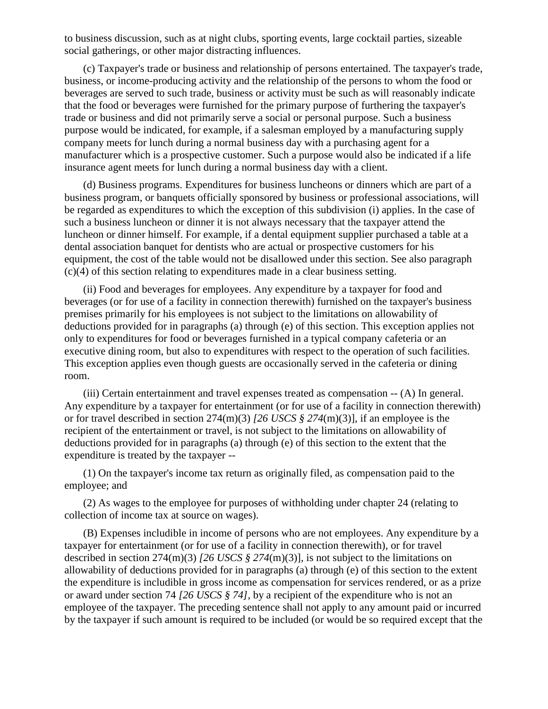to business discussion, such as at night clubs, sporting events, large cocktail parties, sizeable social gatherings, or other major distracting influences.

(c) Taxpayer's trade or business and relationship of persons entertained. The taxpayer's trade, business, or income-producing activity and the relationship of the persons to whom the food or beverages are served to such trade, business or activity must be such as will reasonably indicate that the food or beverages were furnished for the primary purpose of furthering the taxpayer's trade or business and did not primarily serve a social or personal purpose. Such a business purpose would be indicated, for example, if a salesman employed by a manufacturing supply company meets for lunch during a normal business day with a purchasing agent for a manufacturer which is a prospective customer. Such a purpose would also be indicated if a life insurance agent meets for lunch during a normal business day with a client.

(d) Business programs. Expenditures for business luncheons or dinners which are part of a business program, or banquets officially sponsored by business or professional associations, will be regarded as expenditures to which the exception of this subdivision (i) applies. In the case of such a business luncheon or dinner it is not always necessary that the taxpayer attend the luncheon or dinner himself. For example, if a dental equipment supplier purchased a table at a dental association banquet for dentists who are actual or prospective customers for his equipment, the cost of the table would not be disallowed under this section. See also paragraph (c)(4) of this section relating to expenditures made in a clear business setting.

(ii) Food and beverages for employees. Any expenditure by a taxpayer for food and beverages (or for use of a facility in connection therewith) furnished on the taxpayer's business premises primarily for his employees is not subject to the limitations on allowability of deductions provided for in paragraphs (a) through (e) of this section. This exception applies not only to expenditures for food or beverages furnished in a typical company cafeteria or an executive dining room, but also to expenditures with respect to the operation of such facilities. This exception applies even though guests are occasionally served in the cafeteria or dining room.

(iii) Certain entertainment and travel expenses treated as compensation -- (A) In general. Any expenditure by a taxpayer for entertainment (or for use of a facility in connection therewith) or for travel described in section 274(m)(3) *[26 USCS § 274*(m)(3)], if an employee is the recipient of the entertainment or travel, is not subject to the limitations on allowability of deductions provided for in paragraphs (a) through (e) of this section to the extent that the expenditure is treated by the taxpayer --

(1) On the taxpayer's income tax return as originally filed, as compensation paid to the employee; and

(2) As wages to the employee for purposes of withholding under chapter 24 (relating to collection of income tax at source on wages).

(B) Expenses includible in income of persons who are not employees. Any expenditure by a taxpayer for entertainment (or for use of a facility in connection therewith), or for travel described in section 274(m)(3) *[26 USCS § 274*(m)(3)], is not subject to the limitations on allowability of deductions provided for in paragraphs (a) through (e) of this section to the extent the expenditure is includible in gross income as compensation for services rendered, or as a prize or award under section 74 *[26 USCS § 74],* by a recipient of the expenditure who is not an employee of the taxpayer. The preceding sentence shall not apply to any amount paid or incurred by the taxpayer if such amount is required to be included (or would be so required except that the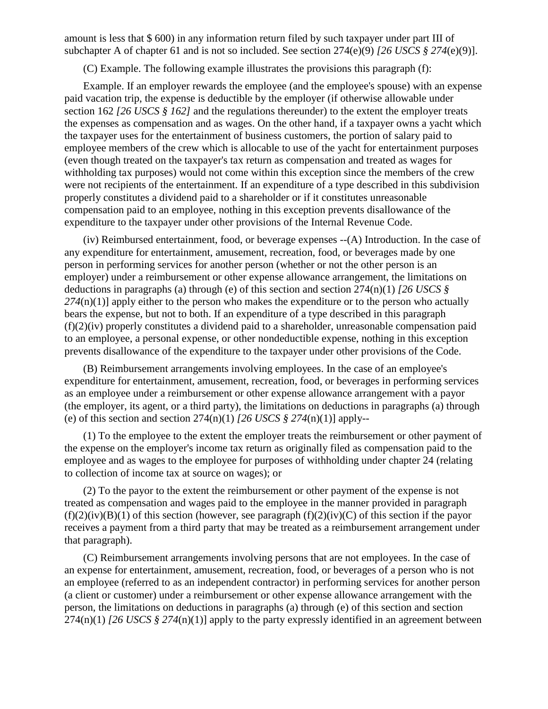amount is less that \$ 600) in any information return filed by such taxpayer under part III of subchapter A of chapter 61 and is not so included. See section 274(e)(9) *[26 USCS § 274*(e)(9)].

(C) Example. The following example illustrates the provisions this paragraph (f):

Example. If an employer rewards the employee (and the employee's spouse) with an expense paid vacation trip, the expense is deductible by the employer (if otherwise allowable under section 162 *[26 USCS § 162]* and the regulations thereunder) to the extent the employer treats the expenses as compensation and as wages. On the other hand, if a taxpayer owns a yacht which the taxpayer uses for the entertainment of business customers, the portion of salary paid to employee members of the crew which is allocable to use of the yacht for entertainment purposes (even though treated on the taxpayer's tax return as compensation and treated as wages for withholding tax purposes) would not come within this exception since the members of the crew were not recipients of the entertainment. If an expenditure of a type described in this subdivision properly constitutes a dividend paid to a shareholder or if it constitutes unreasonable compensation paid to an employee, nothing in this exception prevents disallowance of the expenditure to the taxpayer under other provisions of the Internal Revenue Code.

(iv) Reimbursed entertainment, food, or beverage expenses --(A) Introduction. In the case of any expenditure for entertainment, amusement, recreation, food, or beverages made by one person in performing services for another person (whether or not the other person is an employer) under a reimbursement or other expense allowance arrangement, the limitations on deductions in paragraphs (a) through (e) of this section and section 274(n)(1) *[26 USCS § 274*(n)(1)] apply either to the person who makes the expenditure or to the person who actually bears the expense, but not to both. If an expenditure of a type described in this paragraph (f)(2)(iv) properly constitutes a dividend paid to a shareholder, unreasonable compensation paid to an employee, a personal expense, or other nondeductible expense, nothing in this exception prevents disallowance of the expenditure to the taxpayer under other provisions of the Code.

(B) Reimbursement arrangements involving employees. In the case of an employee's expenditure for entertainment, amusement, recreation, food, or beverages in performing services as an employee under a reimbursement or other expense allowance arrangement with a payor (the employer, its agent, or a third party), the limitations on deductions in paragraphs (a) through (e) of this section and section  $274(n)(1)$  *[26 USCS § 274*(n)(1)] apply--

(1) To the employee to the extent the employer treats the reimbursement or other payment of the expense on the employer's income tax return as originally filed as compensation paid to the employee and as wages to the employee for purposes of withholding under chapter 24 (relating to collection of income tax at source on wages); or

(2) To the payor to the extent the reimbursement or other payment of the expense is not treated as compensation and wages paid to the employee in the manner provided in paragraph  $(f)(2)(iv)(B)(1)$  of this section (however, see paragraph  $(f)(2)(iv)(C)$  of this section if the payor receives a payment from a third party that may be treated as a reimbursement arrangement under that paragraph).

(C) Reimbursement arrangements involving persons that are not employees. In the case of an expense for entertainment, amusement, recreation, food, or beverages of a person who is not an employee (referred to as an independent contractor) in performing services for another person (a client or customer) under a reimbursement or other expense allowance arrangement with the person, the limitations on deductions in paragraphs (a) through (e) of this section and section 274(n)(1) *[26 USCS § 274*(n)(1)] apply to the party expressly identified in an agreement between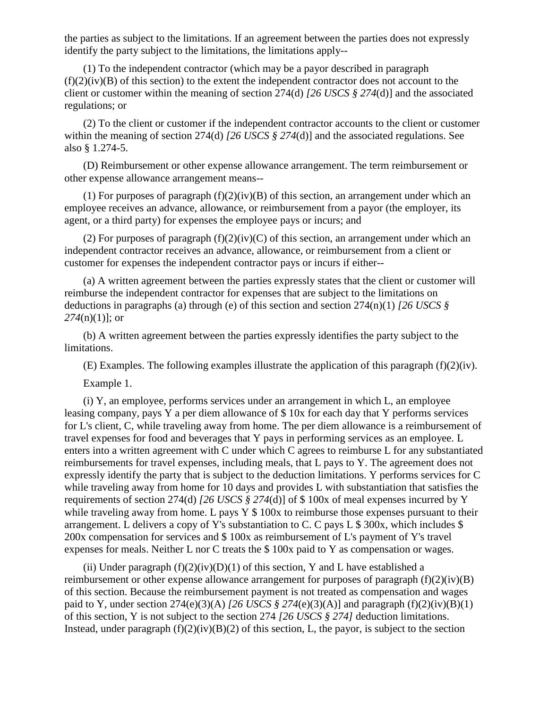the parties as subject to the limitations. If an agreement between the parties does not expressly identify the party subject to the limitations, the limitations apply--

(1) To the independent contractor (which may be a payor described in paragraph  $(f)(2)(iv)(B)$  of this section) to the extent the independent contractor does not account to the client or customer within the meaning of section 274(d) *[26 USCS § 274*(d)] and the associated regulations; or

(2) To the client or customer if the independent contractor accounts to the client or customer within the meaning of section 274(d) *[26 USCS § 274*(d)] and the associated regulations. See also § 1.274-5.

(D) Reimbursement or other expense allowance arrangement. The term reimbursement or other expense allowance arrangement means--

(1) For purposes of paragraph  $(f)(2)(iv)(B)$  of this section, an arrangement under which an employee receives an advance, allowance, or reimbursement from a payor (the employer, its agent, or a third party) for expenses the employee pays or incurs; and

(2) For purposes of paragraph  $(f)(2)(iv)(C)$  of this section, an arrangement under which an independent contractor receives an advance, allowance, or reimbursement from a client or customer for expenses the independent contractor pays or incurs if either--

(a) A written agreement between the parties expressly states that the client or customer will reimburse the independent contractor for expenses that are subject to the limitations on deductions in paragraphs (a) through (e) of this section and section 274(n)(1) *[26 USCS § 274*(n)(1)]; or

(b) A written agreement between the parties expressly identifies the party subject to the limitations.

(E) Examples. The following examples illustrate the application of this paragraph (f)(2)(iv).

Example 1.

(i) Y, an employee, performs services under an arrangement in which L, an employee leasing company, pays Y a per diem allowance of \$ 10x for each day that Y performs services for L's client, C, while traveling away from home. The per diem allowance is a reimbursement of travel expenses for food and beverages that Y pays in performing services as an employee. L enters into a written agreement with C under which C agrees to reimburse L for any substantiated reimbursements for travel expenses, including meals, that L pays to Y. The agreement does not expressly identify the party that is subject to the deduction limitations. Y performs services for C while traveling away from home for 10 days and provides L with substantiation that satisfies the requirements of section 274(d) *[26 USCS § 274*(d)] of \$ 100x of meal expenses incurred by Y while traveling away from home. L pays  $Y \$  100x to reimburse those expenses pursuant to their arrangement. L delivers a copy of Y's substantiation to C. C pays L \$ 300x, which includes \$ 200x compensation for services and \$ 100x as reimbursement of L's payment of Y's travel expenses for meals. Neither L nor C treats the \$ 100x paid to Y as compensation or wages.

(ii) Under paragraph  $(f)(2)(iv)(D)(1)$  of this section, Y and L have established a reimbursement or other expense allowance arrangement for purposes of paragraph (f)(2)(iv)(B) of this section. Because the reimbursement payment is not treated as compensation and wages paid to Y, under section  $274(e)(3)(A)$  *[26 USCS § 274*(e)(3)(A)] and paragraph (f)(2)(iv)(B)(1) of this section, Y is not subject to the section 274 *[26 USCS § 274]* deduction limitations. Instead, under paragraph  $(f)(2)(iv)(B)(2)$  of this section, L, the payor, is subject to the section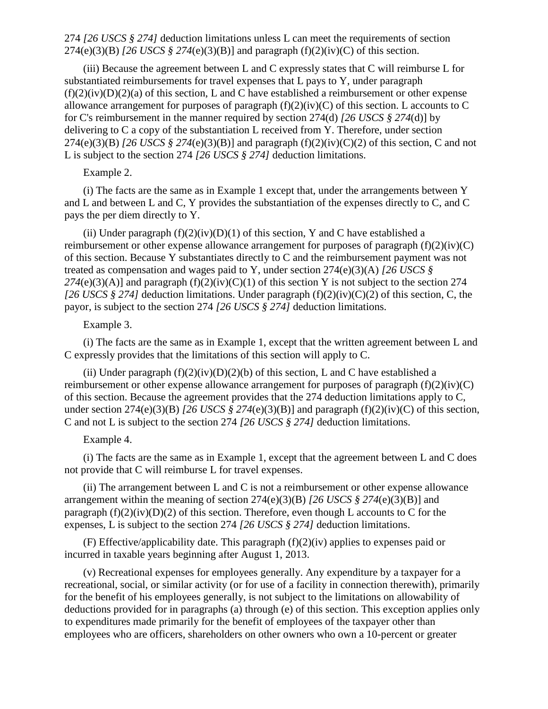274 *[26 USCS § 274]* deduction limitations unless L can meet the requirements of section 274(e)(3)(B) *[26 USCS § 274*(e)(3)(B)] and paragraph (f)(2)(iv)(C) of this section.

(iii) Because the agreement between L and C expressly states that C will reimburse L for substantiated reimbursements for travel expenses that L pays to Y, under paragraph  $(f)(2)(iv)(D)(2)(a)$  of this section, L and C have established a reimbursement or other expense allowance arrangement for purposes of paragraph  $(f)(2)(iv)(C)$  of this section. L accounts to C for C's reimbursement in the manner required by section 274(d) *[26 USCS § 274*(d)] by delivering to C a copy of the substantiation L received from Y. Therefore, under section 274(e)(3)(B) *[26 USCS § 274*(e)(3)(B)] and paragraph (f)(2)(iv)(C)(2) of this section, C and not L is subject to the section 274 *[26 USCS § 274]* deduction limitations.

## Example 2.

(i) The facts are the same as in Example 1 except that, under the arrangements between Y and L and between L and C, Y provides the substantiation of the expenses directly to C, and C pays the per diem directly to Y.

(ii) Under paragraph  $(f)(2)(iv)(D)(1)$  of this section, Y and C have established a reimbursement or other expense allowance arrangement for purposes of paragraph (f)(2)(iv)(C) of this section. Because Y substantiates directly to C and the reimbursement payment was not treated as compensation and wages paid to Y, under section 274(e)(3)(A) *[26 USCS §*   $274(e)(3)(A)$ ] and paragraph  $(f)(2)(iv)(C)(1)$  of this section Y is not subject to the section 274 *[26 USCS § 274]* deduction limitations. Under paragraph (f)(2)(iv)(C)(2) of this section, C, the payor, is subject to the section 274 *[26 USCS § 274]* deduction limitations.

## Example 3.

(i) The facts are the same as in Example 1, except that the written agreement between L and C expressly provides that the limitations of this section will apply to C.

(ii) Under paragraph  $(f)(2)(iv)(D)(2)(b)$  of this section, L and C have established a reimbursement or other expense allowance arrangement for purposes of paragraph  $(f)(2)(iv)(C)$ of this section. Because the agreement provides that the 274 deduction limitations apply to C, under section 274(e)(3)(B) *[26 USCS § 274*(e)(3)(B)] and paragraph (f)(2)(iv)(C) of this section, C and not L is subject to the section 274 *[26 USCS § 274]* deduction limitations.

Example 4.

(i) The facts are the same as in Example 1, except that the agreement between L and C does not provide that C will reimburse L for travel expenses.

 $(i)$  The arrangement between L and C is not a reimbursement or other expense allowance arrangement within the meaning of section 274(e)(3)(B) *[26 USCS § 274*(e)(3)(B)] and paragraph  $(f)(2)(iv)(D)(2)$  of this section. Therefore, even though L accounts to C for the expenses, L is subject to the section 274 *[26 USCS § 274]* deduction limitations.

(F) Effective/applicability date. This paragraph (f)(2)(iv) applies to expenses paid or incurred in taxable years beginning after August 1, 2013.

(v) Recreational expenses for employees generally. Any expenditure by a taxpayer for a recreational, social, or similar activity (or for use of a facility in connection therewith), primarily for the benefit of his employees generally, is not subject to the limitations on allowability of deductions provided for in paragraphs (a) through (e) of this section. This exception applies only to expenditures made primarily for the benefit of employees of the taxpayer other than employees who are officers, shareholders on other owners who own a 10-percent or greater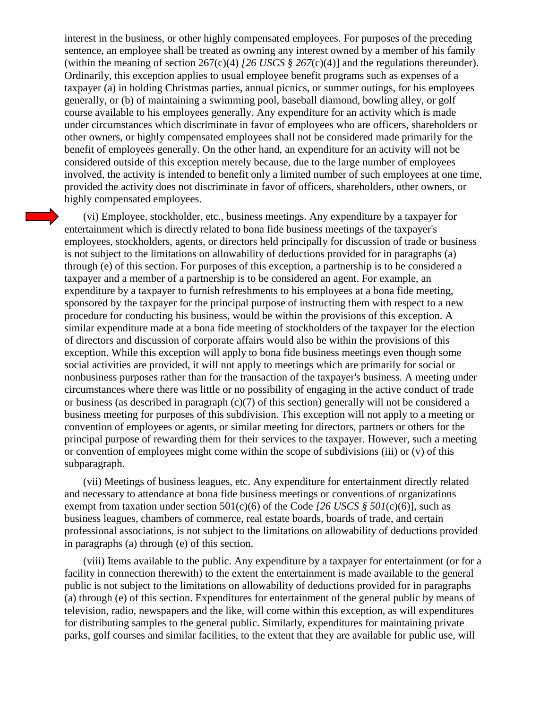interest in the business, or other highly compensated employees. For purposes of the preceding sentence, an employee shall be treated as owning any interest owned by a member of his family (within the meaning of section 267(c)(4) *[26 USCS § 267(c)(4)*] and the regulations thereunder). Ordinarily, this exception applies to usual employee benefit programs such as expenses of a taxpayer (a) in holding Christmas parties, annual picnics, or summer outings, for his employees generally, or (b) of maintaining a swimming pool, baseball diamond, bowling alley, or golf course available to his employees generally. Any expenditure for an activity which is made under circumstances which discriminate in favor of employees who are officers, shareholders or other owners, or highly compensated employees shall not be considered made primarily for the benefit of employees generally. On the other hand, an expenditure for an activity will not be considered outside of this exception merely because, due to the large number of employees involved, the activity is intended to benefit only a limited number of such employees at one time, provided the activity does not discriminate in favor of officers, shareholders, other owners, or highly compensated employees.

(vi) Employee, stockholder, etc., business meetings. Any expenditure by a taxpayer for entertainment which is directly related to bona fide business meetings of the taxpayer's employees, stockholders, agents, or directors held principally for discussion of trade or business is not subject to the limitations on allowability of deductions provided for in paragraphs (a) through (e) of this section. For purposes of this exception, a partnership is to be considered a taxpayer and a member of a partnership is to be considered an agent. For example, an expenditure by a taxpayer to furnish refreshments to his employees at a bona fide meeting, sponsored by the taxpayer for the principal purpose of instructing them with respect to a new procedure for conducting his business, would be within the provisions of this exception. A similar expenditure made at a bona fide meeting of stockholders of the taxpayer for the election of directors and discussion of corporate affairs would also be within the provisions of this exception. While this exception will apply to bona fide business meetings even though some social activities are provided, it will not apply to meetings which are primarily for social or nonbusiness purposes rather than for the transaction of the taxpayer's business. A meeting under circumstances where there was little or no possibility of engaging in the active conduct of trade or business (as described in paragraph (c)(7) of this section) generally will not be considered a business meeting for purposes of this subdivision. This exception will not apply to a meeting or convention of employees or agents, or similar meeting for directors, partners or others for the principal purpose of rewarding them for their services to the taxpayer. However, such a meeting or convention of employees might come within the scope of subdivisions (iii) or (v) of this subparagraph.

(vii) Meetings of business leagues, etc. Any expenditure for entertainment directly related and necessary to attendance at bona fide business meetings or conventions of organizations exempt from taxation under section 501(c)(6) of the Code *[26 USCS § 501*(c)(6)], such as business leagues, chambers of commerce, real estate boards, boards of trade, and certain professional associations, is not subject to the limitations on allowability of deductions provided in paragraphs (a) through (e) of this section.

(viii) Items available to the public. Any expenditure by a taxpayer for entertainment (or for a facility in connection therewith) to the extent the entertainment is made available to the general public is not subject to the limitations on allowability of deductions provided for in paragraphs (a) through (e) of this section. Expenditures for entertainment of the general public by means of television, radio, newspapers and the like, will come within this exception, as will expenditures for distributing samples to the general public. Similarly, expenditures for maintaining private parks, golf courses and similar facilities, to the extent that they are available for public use, will